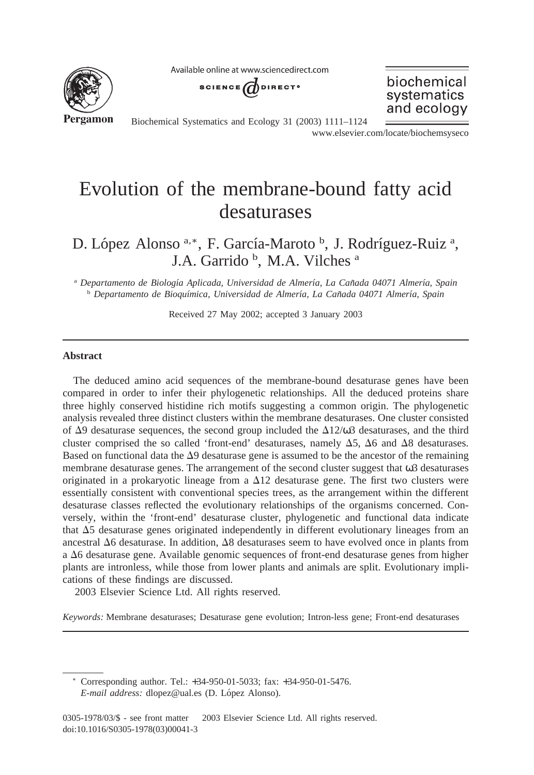Available online at www.sciencedirect.com



SCIENCE UDIRECT<sup>®</sup>

biochemical systematics and ecology

Biochemical Systematics and Ecology 31 (2003) 1111–1124

www.elsevier.com/locate/biochemsyseco

# Evolution of the membrane-bound fatty acid desaturases

D. López Alonso<sup>a,\*</sup>, F. García-Maroto <sup>b</sup>, J. Rodríguez-Ruiz<sup>a</sup>, J.A. Garrido<sup>b</sup>, M.A. Vilches<sup>a</sup>

<sup>a</sup> *Departamento de Biologı´a Aplicada, Universidad de Almerı´a, La Can˜ada 04071 Almerı´a, Spain* <sup>b</sup> *Departamento de Bioquı´mica, Universidad de Almerı´a, La Can˜ada 04071 Almerı´a, Spain*

Received 27 May 2002; accepted 3 January 2003

#### **Abstract**

The deduced amino acid sequences of the membrane-bound desaturase genes have been compared in order to infer their phylogenetic relationships. All the deduced proteins share three highly conserved histidine rich motifs suggesting a common origin. The phylogenetic analysis revealed three distinct clusters within the membrane desaturases. One cluster consisted of  $\Delta$ 9 desaturase sequences, the second group included the  $\Delta$ 12/ω3 desaturases, and the third cluster comprised the so called 'front-end' desaturases, namely  $\Delta$ 5,  $\Delta$ 6 and  $\Delta$ 8 desaturases. Based on functional data the  $\Delta$ 9 desaturase gene is assumed to be the ancestor of the remaining membrane desaturase genes. The arrangement of the second cluster suggest that ω3 desaturases originated in a prokaryotic lineage from a  $\Delta 12$  desaturase gene. The first two clusters were essentially consistent with conventional species trees, as the arrangement within the different desaturase classes reflected the evolutionary relationships of the organisms concerned. Conversely, within the 'front-end' desaturase cluster, phylogenetic and functional data indicate that  $\Delta$ 5 desaturase genes originated independently in different evolutionary lineages from an ancestral  $\Delta 6$  desaturase. In addition,  $\Delta 8$  desaturases seem to have evolved once in plants from a  $\Delta 6$  desaturase gene. Available genomic sequences of front-end desaturase genes from higher plants are intronless, while those from lower plants and animals are split. Evolutionary implications of these findings are discussed.

2003 Elsevier Science Ltd. All rights reserved.

*Keywords:* Membrane desaturases; Desaturase gene evolution; Intron-less gene; Front-end desaturases

<sup>∗</sup> Corresponding author. Tel.: +34-950-01-5033; fax: +34-950-01-5476. *E-mail address:* dlopez@ual.es (D. López Alonso).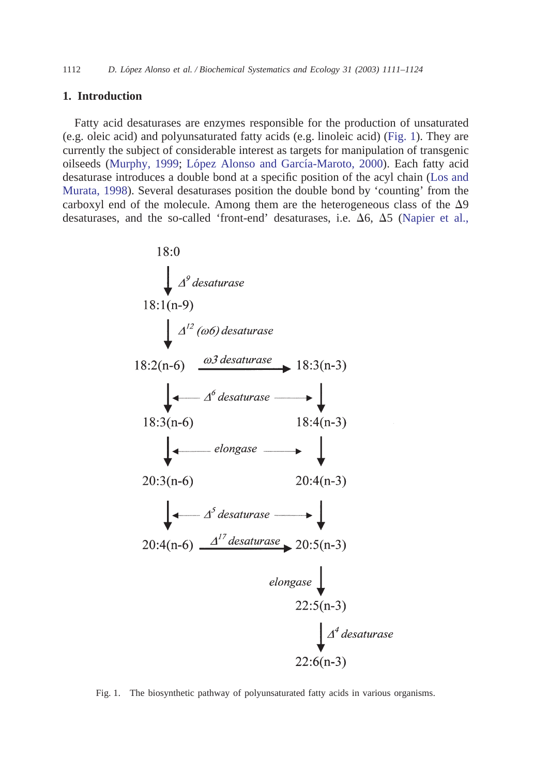## <span id="page-1-0"></span>**1. Introduction**

Fatty acid desaturases are enzymes responsible for the production of unsaturated (e.g. oleic acid) and polyunsaturated fatty acids (e.g. linoleic acid) (Fig. 1). They are currently the subject of considerable interest as targets for manipulation of transgenic oilseeds [\(Murphy, 1999;](#page-12-0) López Alonso and García-Maroto, 2000). Each fatty acid desaturase introduces a double bond at a specific position of the acyl chain [\(Los and](#page-12-0) [Murata, 1998\)](#page-12-0). Several desaturases position the double bond by 'counting' from the carboxyl end of the molecule. Among them are the heterogeneous class of the  $\Delta$ 9 desaturases, and the so-called 'front-end' desaturases, i.e.  $\Delta 6$ ,  $\Delta 5$  [\(Napier et al.,](#page-12-0)



Fig. 1. The biosynthetic pathway of polyunsaturated fatty acids in various organisms.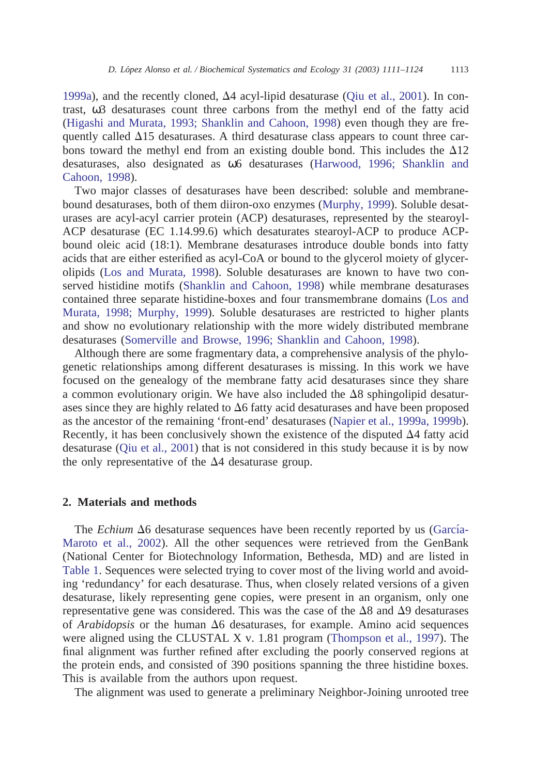[1999a\)](#page-12-0), and the recently cloned,  $\Delta 4$  acyl-lipid desaturase [\(Qiu et al., 2001\)](#page-12-0). In contrast, ω3 desaturases count three carbons from the methyl end of the fatty acid [\(Higashi and Murata, 1993; Shanklin and Cahoon, 1998\)](#page-12-0) even though they are frequently called  $\Delta$ 15 desaturases. A third desaturase class appears to count three carbons toward the methyl end from an existing double bond. This includes the  $\Delta 12$ desaturases, also designated as ω6 desaturases [\(Harwood, 1996; Shanklin and](#page-12-0) [Cahoon, 1998\)](#page-12-0).

Two major classes of desaturases have been described: soluble and membranebound desaturases, both of them diiron-oxo enzymes [\(Murphy, 1999\)](#page-12-0). Soluble desaturases are acyl-acyl carrier protein (ACP) desaturases, represented by the stearoyl-ACP desaturase (EC 1.14.99.6) which desaturates stearoyl-ACP to produce ACPbound oleic acid (18:1). Membrane desaturases introduce double bonds into fatty acids that are either esterified as acyl-CoA or bound to the glycerol moiety of glycerolipids [\(Los and Murata, 1998\)](#page-12-0). Soluble desaturases are known to have two conserved histidine motifs [\(Shanklin and Cahoon, 1998\)](#page-12-0) while membrane desaturases contained three separate histidine-boxes and four transmembrane domains [\(Los and](#page-12-0) [Murata, 1998; Murphy, 1999\)](#page-12-0). Soluble desaturases are restricted to higher plants and show no evolutionary relationship with the more widely distributed membrane desaturases [\(Somerville and Browse, 1996; Shanklin and Cahoon, 1998\)](#page-12-0).

Although there are some fragmentary data, a comprehensive analysis of the phylogenetic relationships among different desaturases is missing. In this work we have focused on the genealogy of the membrane fatty acid desaturases since they share a common evolutionary origin. We have also included the  $\Delta 8$  sphingolipid desaturases since they are highly related to  $\Delta 6$  fatty acid desaturases and have been proposed as the ancestor of the remaining 'front-end' desaturases [\(Napier et al., 1999a, 1999b\)](#page-12-0). Recently, it has been conclusively shown the existence of the disputed  $\Delta$ 4 fatty acid desaturase [\(Qiu et al., 2001\)](#page-12-0) that is not considered in this study because it is by now the only representative of the  $\Delta$ 4 desaturase group.

# **2. Materials and methods**

The *Echium*  $\Delta 6$  desaturase sequences have been recently reported by us (García-[Maroto et al., 2002\)](#page-12-0). All the other sequences were retrieved from the GenBank (National Center for Biotechnology Information, Bethesda, MD) and are listed in [Table 1.](#page-3-0) Sequences were selected trying to cover most of the living world and avoiding 'redundancy' for each desaturase. Thus, when closely related versions of a given desaturase, likely representing gene copies, were present in an organism, only one representative gene was considered. This was the case of the  $\Delta 8$  and  $\Delta 9$  desaturases of *Arabidopsis* or the human  $\Delta 6$  desaturases, for example. Amino acid sequences were aligned using the CLUSTAL X v. 1.81 program [\(Thompson et al., 1997\)](#page-13-0). The final alignment was further refined after excluding the poorly conserved regions at the protein ends, and consisted of 390 positions spanning the three histidine boxes. This is available from the authors upon request.

The alignment was used to generate a preliminary Neighbor-Joining unrooted tree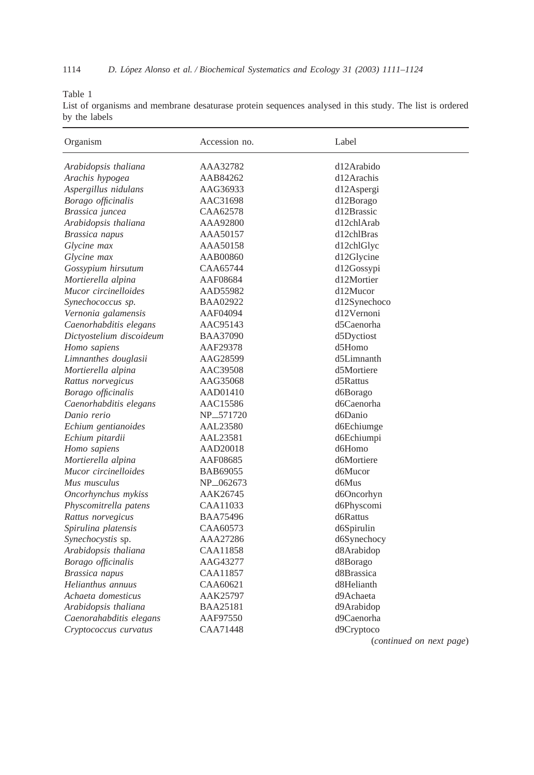<span id="page-3-0"></span>Table 1

List of organisms and membrane desaturase protein sequences analysed in this study. The list is ordered by the labels

| Organism                 | Accession no.         | Label                    |
|--------------------------|-----------------------|--------------------------|
| Arabidopsis thaliana     | AAA32782              | d12Arabido               |
| Arachis hypogea          | AAB84262              | d12Arachis               |
| Aspergillus nidulans     | AAG36933              | d12Aspergi               |
| Borago officinalis       | AAC31698              | d12Borago                |
| Brassica juncea          | CAA62578              | d12Brassic               |
| Arabidopsis thaliana     | AAA92800              | d12chlArab               |
| Brassica napus           | AAA50157              | d12chlBras               |
| Glycine max              | AAA50158              | d12chlGlyc               |
| Glycine max              | AAB00860              | d12Glycine               |
| Gossypium hirsutum       | CAA65744              | d12Gossypi               |
| Mortierella alpina       | AAF08684              | d12Mortier               |
| Mucor circinelloides     | AAD55982              | d12Mucor                 |
| Synechococcus sp.        | BAA02922              | d12Synechoco             |
| Vernonia galamensis      | AAF04094              | d12Vernoni               |
| Caenorhabditis elegans   | AAC95143              | d5Caenorha               |
| Dictyostelium discoideum | <b>BAA37090</b>       | d5Dyctiost               |
| Homo sapiens             | AAF29378              | d5Homo                   |
| Limnanthes douglasii     | AAG28599              | d5Limnanth               |
| Mortierella alpina       | AAC39508              | d5Mortiere               |
| Rattus norvegicus        | AAG35068              | d5Rattus                 |
| Borago officinalis       | AAD01410              | d6Borago                 |
| Caenorhabditis elegans   | AAC15586              | d6Caenorha               |
| Danio rerio              | NP <sub>-571720</sub> | d6Danio                  |
| Echium gentianoides      | AAL23580              | d6Echiumge               |
| Echium pitardii          | AAL23581              | d6Echiumpi               |
| Homo sapiens             | AAD20018              | d6Homo                   |
| Mortierella alpina       | AAF08685              | d6Mortiere               |
| Mucor circinelloides     | BAB69055              | d6Mucor                  |
| Mus musculus             | NP <sub>-062673</sub> | d6Mus                    |
| Oncorhynchus mykiss      | AAK26745              | d6Oncorhyn               |
| Physcomitrella patens    | CAA11033              | d6Physcomi               |
| Rattus norvegicus        | <b>BAA75496</b>       | d6Rattus                 |
| Spirulina platensis      | CAA60573              | d6Spirulin               |
| Synechocystis sp.        | AAA27286              | d6Synechocy              |
| Arabidopsis thaliana     | CAA11858              | d8Arabidop               |
| Borago officinalis       | AAG43277              | d8Borago                 |
| Brassica napus           | CAA11857              | d8Brassica               |
| Helianthus annuus        | CAA60621              | d8Helianth               |
| Achaeta domesticus       | AAK25797              | d9Achaeta                |
| Arabidopsis thaliana     | <b>BAA25181</b>       | d9Arabidop               |
| Caenorahabditis elegans  | AAF97550              | d9Caenorha               |
| Cryptococcus curvatus    | CAA71448              | d9Cryptoco               |
|                          |                       | (continued on next page) |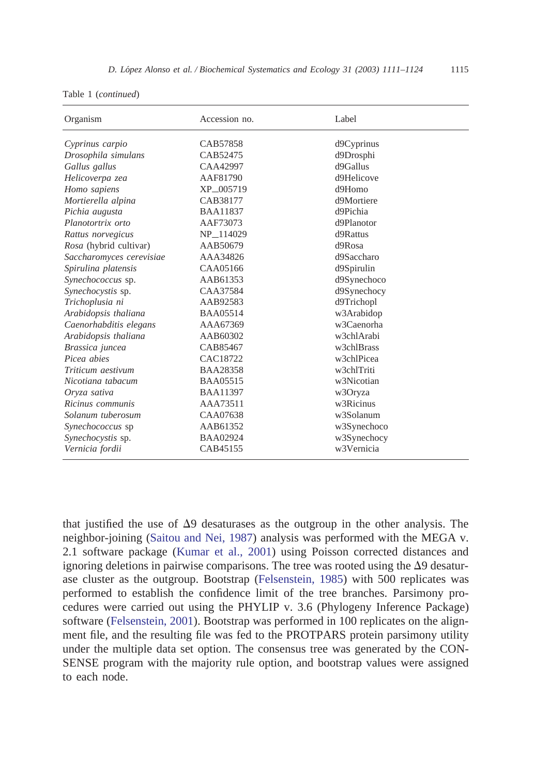|  |  | Table 1 (continued) |  |
|--|--|---------------------|--|
|--|--|---------------------|--|

| Organism                 | Accession no.         | Label                   |
|--------------------------|-----------------------|-------------------------|
| Cyprinus carpio          | CAB57858              | d9Cyprinus              |
| Drosophila simulans      | CAB52475              | d9Drosphi               |
| Gallus gallus            | CAA42997              | d9Gallus                |
| Helicoverpa zea          | AAF81790              | d9Helicove              |
| Homo sapiens             | XP_005719             | d9Homo                  |
| Mortierella alpina       | CAB38177              | d9Mortiere              |
| Pichia augusta           | <b>BAA11837</b>       | d9Pichia                |
| Planotortrix orto        | AAF73073              | d9Planotor              |
| Rattus norvegicus        | NP <sub>-114029</sub> | d9Rattus                |
| Rosa (hybrid cultivar)   | AAB50679              | $d9R$ osa               |
| Saccharomyces cerevisiae | AAA34826              | d9Saccharo              |
| Spirulina platensis      | CAA05166              | d9Spirulin              |
| Synechococcus sp.        | AAB61353              | d9Synechoco             |
| Synechocystis sp.        | CAA37584              | d9Synechocy             |
| Trichoplusia ni          | AAB92583              | d9Trichopl              |
| Arabidopsis thaliana     | <b>BAA05514</b>       | w3Arabidop              |
| Caenorhabditis elegans   | AAA67369              | w3Caenorha              |
| Arabidopsis thaliana     | AAB60302              | w3chlArabi              |
| Brassica juncea          | CAB85467              | w3chlBrass              |
| Picea abies              | CAC18722              | w3chlPicea              |
| Triticum aestivum        | <b>BAA28358</b>       | w3chlTriti              |
| Nicotiana tabacum        | <b>BAA05515</b>       | w <sub>3</sub> Nicotian |
| Oryza sativa             | <b>BAA11397</b>       | w3Oryza                 |
| Ricinus communis         | AAA73511              | w3Ricinus               |
| Solanum tuberosum        | CAA07638              | w3Solanum               |
| Synechococcus sp         | AAB61352              | w3Synechoco             |
| Synechocystis sp.        | <b>BAA02924</b>       | w3Synechocy             |
| Vernicia fordii          | CAB45155              | w <sub>3</sub> Vernicia |

that justified the use of  $\Delta$ 9 desaturases as the outgroup in the other analysis. The neighbor-joining [\(Saitou and Nei, 1987\)](#page-12-0) analysis was performed with the MEGA v. 2.1 software package [\(Kumar et al., 2001\)](#page-12-0) using Poisson corrected distances and ignoring deletions in pairwise comparisons. The tree was rooted using the  $\Delta$ 9 desaturase cluster as the outgroup. Bootstrap [\(Felsenstein, 1985\)](#page-12-0) with 500 replicates was performed to establish the confidence limit of the tree branches. Parsimony procedures were carried out using the PHYLIP v. 3.6 (Phylogeny Inference Package) software [\(Felsenstein, 2001\)](#page-12-0). Bootstrap was performed in 100 replicates on the alignment file, and the resulting file was fed to the PROTPARS protein parsimony utility under the multiple data set option. The consensus tree was generated by the CON-SENSE program with the majority rule option, and bootstrap values were assigned to each node.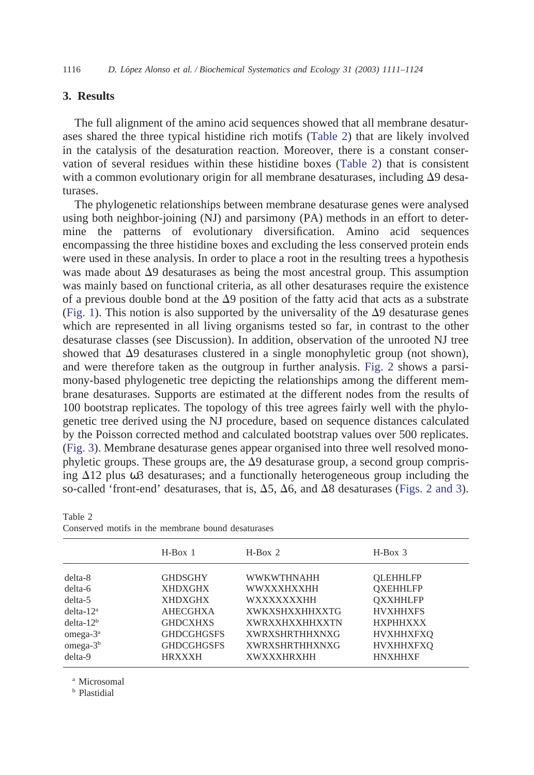# <span id="page-5-0"></span>**3. Results**

The full alignment of the amino acid sequences showed that all membrane desaturases shared the three typical histidine rich motifs (Table 2) that are likely involved in the catalysis of the desaturation reaction. Moreover, there is a constant conservation of several residues within these histidine boxes (Table 2) that is consistent with a common evolutionary origin for all membrane desaturases, including  $\Delta$ 9 desaturases.

The phylogenetic relationships between membrane desaturase genes were analysed using both neighbor-joining (NJ) and parsimony (PA) methods in an effort to determine the patterns of evolutionary diversification. Amino acid sequences encompassing the three histidine boxes and excluding the less conserved protein ends were used in these analysis. In order to place a root in the resulting trees a hypothesis was made about  $\Delta$ 9 desaturases as being the most ancestral group. This assumption was mainly based on functional criteria, as all other desaturases require the existence of a previous double bond at the  $\Delta$ 9 position of the fatty acid that acts as a substrate [\(Fig. 1\)](#page-1-0). This notion is also supported by the universality of the  $\Delta$ 9 desaturase genes which are represented in all living organisms tested so far, in contrast to the other desaturase classes (see Discussion). In addition, observation of the unrooted NJ tree showed that  $\Delta$ 9 desaturases clustered in a single monophyletic group (not shown), and were therefore taken as the outgroup in further analysis. [Fig. 2](#page-6-0) shows a parsimony-based phylogenetic tree depicting the relationships among the different membrane desaturases. Supports are estimated at the different nodes from the results of 100 bootstrap replicates. The topology of this tree agrees fairly well with the phylogenetic tree derived using the NJ procedure, based on sequence distances calculated by the Poisson corrected method and calculated bootstrap values over 500 replicates. [\(Fig. 3\)](#page-7-0). Membrane desaturase genes appear organised into three well resolved monophyletic groups. These groups are, the  $\Delta$ 9 desaturase group, a second group comprising  $\Delta$ 12 plus  $\omega$ 3 desaturases; and a functionally heterogeneous group including the so-called 'front-end' desaturases, that is,  $\Delta$ 5,  $\Delta$ 6, and  $\Delta$ 8 desaturases [\(Figs. 2 and 3\)](#page-6-0).

|              | $H-Box$ 1         | $H-Box2$              | $H-Box$ 3        |
|--------------|-------------------|-----------------------|------------------|
| $delta-8$    | <b>GHDSGHY</b>    | <b>WWKWTHNAHH</b>     | <b>OLEHHLFP</b>  |
| delta-6      | <b>XHDXGHX</b>    | WWXXXHXXHH            | <b>OXEHHLFP</b>  |
| $delta-5$    | <b>XHDXGHX</b>    | WXXXXXXXHH            | <b>OXXHHLFP</b>  |
| $delta-12a$  | <b>AHECGHXA</b>   | <b>XWKXSHXXHHXXTG</b> | <b>HVXHHXFS</b>  |
| $delta-12b$  | <b>GHDCXHXS</b>   | <b>XWRXXHXXHHXXTN</b> | <b>HXPHHXXX</b>  |
| omega- $3^a$ | <b>GHDCGHGSFS</b> | <b>XWRXSHRTHHXNXG</b> | <b>HVXHHXFXO</b> |
| $omega-3b$   | <b>GHDCGHGSFS</b> | <b>XWRXSHRTHHXNXG</b> | <b>HVXHHXFXO</b> |
| delta-9      | <b>HRXXXH</b>     | <b>XWXXXHRXHH</b>     | <b>HNXHHXF</b>   |

Table 2 Conserved motifs in the membrane bound desaturases

<sup>a</sup> Microsomal

<sup>b</sup> Plastidial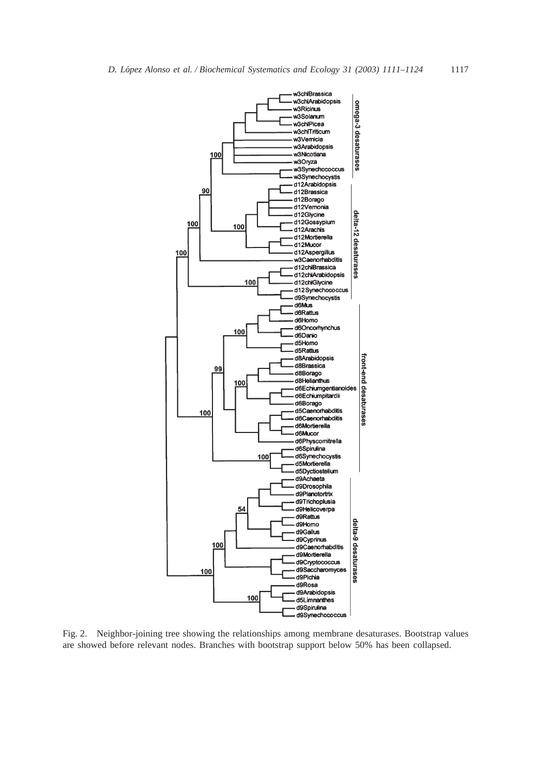<span id="page-6-0"></span>

Fig. 2. Neighbor-joining tree showing the relationships among membrane desaturases. Bootstrap values are showed before relevant nodes. Branches with bootstrap support below 50% has been collapsed.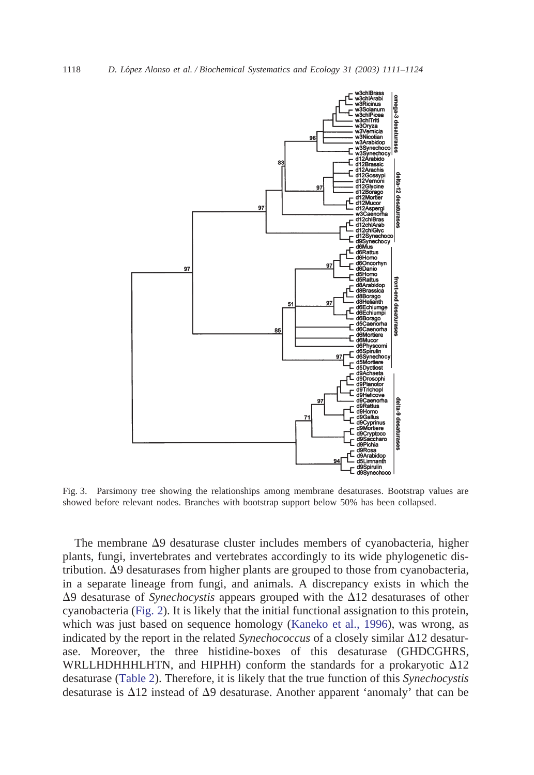

Fig. 3. Parsimony tree showing the relationships among membrane desaturases. Bootstrap values are showed before relevant nodes. Branches with bootstrap support below 50% has been collapsed.

The membrane  $\Delta$ 9 desaturase cluster includes members of cyanobacteria, higher plants, fungi, invertebrates and vertebrates accordingly to its wide phylogenetic distribution.  $\Delta$ 9 desaturases from higher plants are grouped to those from cyanobacteria, in a separate lineage from fungi, and animals. A discrepancy exists in which the  $\Delta$ 9 desaturase of *Synechocystis* appears grouped with the  $\Delta$ 12 desaturases of other cyanobacteria [\(Fig. 2\)](#page-6-0). It is likely that the initial functional assignation to this protein, which was just based on sequence homology [\(Kaneko et al., 1996\)](#page-12-0), was wrong, as indicated by the report in the related *Synechococcus* of a closely similar  $\Delta 12$  desaturase. Moreover, the three histidine-boxes of this desaturase (GHDCGHRS, WRLLHDHHHLHTN, and HIPHH) conform the standards for a prokaryotic  $\Delta 12$ desaturase [\(Table 2\)](#page-5-0). Therefore, it is likely that the true function of this *Synechocystis* desaturase is  $\Delta$ 12 instead of  $\Delta$ 9 desaturase. Another apparent 'anomaly' that can be

<span id="page-7-0"></span>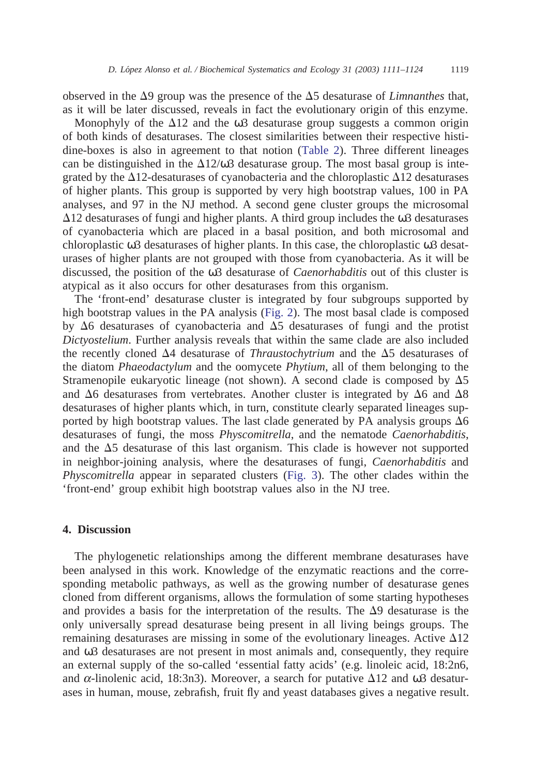observed in the  $\Delta$ 9 group was the presence of the  $\Delta$ 5 desaturase of *Limnanthes* that, as it will be later discussed, reveals in fact the evolutionary origin of this enzyme.

Monophyly of the  $\Delta$ 12 and the  $\omega$ 3 desaturase group suggests a common origin of both kinds of desaturases. The closest similarities between their respective histidine-boxes is also in agreement to that notion [\(Table 2\)](#page-5-0). Three different lineages can be distinguished in the  $\Delta 12/\omega^2$  desaturase group. The most basal group is integrated by the  $\Delta$ 12-desaturases of cyanobacteria and the chloroplastic  $\Delta$ 12 desaturases of higher plants. This group is supported by very high bootstrap values, 100 in PA analyses, and 97 in the NJ method. A second gene cluster groups the microsomal  $\Delta$ 12 desaturases of fungi and higher plants. A third group includes the  $\omega$ 3 desaturases of cyanobacteria which are placed in a basal position, and both microsomal and chloroplastic ω3 desaturases of higher plants. In this case, the chloroplastic ω3 desaturases of higher plants are not grouped with those from cyanobacteria. As it will be discussed, the position of the ω3 desaturase of *Caenorhabditis* out of this cluster is atypical as it also occurs for other desaturases from this organism.

The 'front-end' desaturase cluster is integrated by four subgroups supported by high bootstrap values in the PA analysis [\(Fig. 2\)](#page-6-0). The most basal clade is composed by  $\Delta 6$  desaturases of cyanobacteria and  $\Delta 5$  desaturases of fungi and the protist *Dictyostelium*. Further analysis reveals that within the same clade are also included the recently cloned  $\Delta$ 4 desaturase of *Thraustochytrium* and the  $\Delta$ 5 desaturases of the diatom *Phaeodactylum* and the oomycete *Phytium*, all of them belonging to the Stramenopile eukaryotic lineage (not shown). A second clade is composed by  $\Delta 5$ and  $\Delta 6$  desaturases from vertebrates. Another cluster is integrated by  $\Delta 6$  and  $\Delta 8$ desaturases of higher plants which, in turn, constitute clearly separated lineages supported by high bootstrap values. The last clade generated by PA analysis groups  $\Delta 6$ desaturases of fungi, the moss *Physcomitrella*, and the nematode *Caenorhabditis*, and the  $\Delta$ 5 desaturase of this last organism. This clade is however not supported in neighbor-joining analysis, where the desaturases of fungi, *Caenorhabditis* and *Physcomitrella* appear in separated clusters [\(Fig. 3\)](#page-7-0). The other clades within the 'front-end' group exhibit high bootstrap values also in the NJ tree.

# **4. Discussion**

The phylogenetic relationships among the different membrane desaturases have been analysed in this work. Knowledge of the enzymatic reactions and the corresponding metabolic pathways, as well as the growing number of desaturase genes cloned from different organisms, allows the formulation of some starting hypotheses and provides a basis for the interpretation of the results. The  $\Delta$ 9 desaturase is the only universally spread desaturase being present in all living beings groups. The remaining desaturases are missing in some of the evolutionary lineages. Active  $\Delta 12$ and ω3 desaturases are not present in most animals and, consequently, they require an external supply of the so-called 'essential fatty acids' (e.g. linoleic acid, 18:2n6, and  $\alpha$ -linolenic acid, 18:3n3). Moreover, a search for putative  $\Delta$ 12 and  $\omega$ 3 desaturases in human, mouse, zebrafish, fruit fly and yeast databases gives a negative result.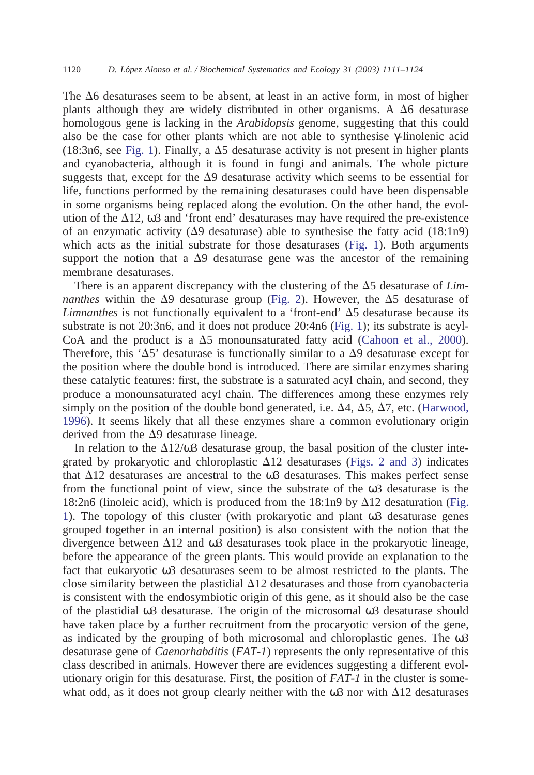The  $\Delta 6$  desaturases seem to be absent, at least in an active form, in most of higher plants although they are widely distributed in other organisms. A  $\Delta 6$  desaturase homologous gene is lacking in the *Arabidopsis* genome, suggesting that this could also be the case for other plants which are not able to synthesise γ-linolenic acid (18:3n6, see [Fig. 1\)](#page-1-0). Finally, a  $\Delta$ 5 desaturase activity is not present in higher plants and cyanobacteria, although it is found in fungi and animals. The whole picture suggests that, except for the  $\Delta$ 9 desaturase activity which seems to be essential for life, functions performed by the remaining desaturases could have been dispensable in some organisms being replaced along the evolution. On the other hand, the evolution of the  $\Delta$ 12,  $\omega$ 3 and 'front end' desaturases may have required the pre-existence of an enzymatic activity  $(\Delta 9)$  desaturase) able to synthesise the fatty acid (18:1n9) which acts as the initial substrate for those desaturases [\(Fig. 1\)](#page-1-0). Both arguments support the notion that a  $\Delta$ 9 desaturase gene was the ancestor of the remaining membrane desaturases.

There is an apparent discrepancy with the clustering of the  $\Delta$ 5 desaturase of *Limnanthes* within the  $\Delta$ 9 desaturase group [\(Fig. 2\)](#page-6-0). However, the  $\Delta$ 5 desaturase of *Limnanthes* is not functionally equivalent to a 'front-end'  $\Delta$ 5 desaturase because its substrate is not 20:3n6, and it does not produce 20:4n6 [\(Fig. 1\)](#page-1-0); its substrate is acyl-CoA and the product is a  $\Delta 5$  monounsaturated fatty acid [\(Cahoon et al., 2000\)](#page-11-0). Therefore, this ' $\Delta$ 5' desaturase is functionally similar to a  $\Delta$ 9 desaturase except for the position where the double bond is introduced. There are similar enzymes sharing these catalytic features: first, the substrate is a saturated acyl chain, and second, they produce a monounsaturated acyl chain. The differences among these enzymes rely simply on the position of the double bond generated, i.e.  $\Delta 4$ ,  $\Delta 5$ ,  $\Delta 7$ , etc. [\(Harwood,](#page-12-0) [1996\)](#page-12-0). It seems likely that all these enzymes share a common evolutionary origin derived from the  $\Delta$ 9 desaturase lineage.

In relation to the  $\Delta 12/\omega^3$  desaturase group, the basal position of the cluster integrated by prokaryotic and chloroplastic  $\Delta 12$  desaturases [\(Figs. 2 and 3\)](#page-6-0) indicates that  $\Delta$ 12 desaturases are ancestral to the  $\omega$ 3 desaturases. This makes perfect sense from the functional point of view, since the substrate of the ω3 desaturase is the 18:2n6 (linoleic acid), which is produced from the 18:1n9 by  $\Delta$ 12 desaturation [\(Fig.](#page-1-0) [1\)](#page-1-0). The topology of this cluster (with prokaryotic and plant ω3 desaturase genes grouped together in an internal position) is also consistent with the notion that the divergence between  $\Delta 12$  and  $\omega 3$  desaturases took place in the prokaryotic lineage, before the appearance of the green plants. This would provide an explanation to the fact that eukaryotic ω3 desaturases seem to be almost restricted to the plants. The close similarity between the plastidial  $\Delta 12$  desaturases and those from cyanobacteria is consistent with the endosymbiotic origin of this gene, as it should also be the case of the plastidial ω3 desaturase. The origin of the microsomal ω3 desaturase should have taken place by a further recruitment from the procaryotic version of the gene, as indicated by the grouping of both microsomal and chloroplastic genes. The  $\omega$ 3 desaturase gene of *Caenorhabditis* (*FAT-1*) represents the only representative of this class described in animals. However there are evidences suggesting a different evolutionary origin for this desaturase. First, the position of *FAT-1* in the cluster is somewhat odd, as it does not group clearly neither with the  $\omega$ 3 nor with  $\Delta$ 12 desaturases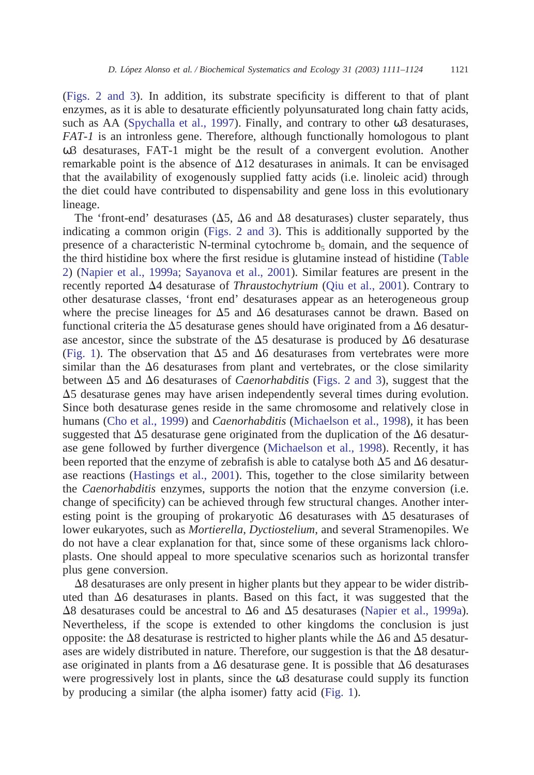[\(Figs. 2 and 3\)](#page-6-0). In addition, its substrate specificity is different to that of plant enzymes, as it is able to desaturate efficiently polyunsaturated long chain fatty acids, such as AA [\(Spychalla et al., 1997\)](#page-13-0). Finally, and contrary to other ω3 desaturases, *FAT-1* is an intronless gene. Therefore, although functionally homologous to plant ω3 desaturases, FAT-1 might be the result of a convergent evolution. Another remarkable point is the absence of  $\Delta 12$  desaturases in animals. It can be envisaged that the availability of exogenously supplied fatty acids (i.e. linoleic acid) through the diet could have contributed to dispensability and gene loss in this evolutionary lineage.

The 'front-end' desaturases ( $\Delta$ 5,  $\Delta$ 6 and  $\Delta$ 8 desaturases) cluster separately, thus indicating a common origin [\(Figs. 2 and 3\)](#page-6-0). This is additionally supported by the presence of a characteristic N-terminal cytochrome  $b<sub>5</sub>$  domain, and the sequence of the third histidine box where the first residue is glutamine instead of histidine [\(Table](#page-5-0) [2\)](#page-5-0) [\(Napier et al., 1999a; Sayanova et al., 2001\)](#page-12-0). Similar features are present in the recently reported 4 desaturase of *Thraustochytrium* [\(Qiu et al., 2001\)](#page-12-0). Contrary to other desaturase classes, 'front end' desaturases appear as an heterogeneous group where the precise lineages for  $\Delta 5$  and  $\Delta 6$  desaturases cannot be drawn. Based on functional criteria the  $\Delta$ 5 desaturase genes should have originated from a  $\Delta$ 6 desaturase ancestor, since the substrate of the  $\Delta$ 5 desaturase is produced by  $\Delta$ 6 desaturase [\(Fig. 1\)](#page-1-0). The observation that  $\Delta 5$  and  $\Delta 6$  desaturases from vertebrates were more similar than the  $\Delta 6$  desaturases from plant and vertebrates, or the close similarity between  $\Delta 5$  and  $\Delta 6$  desaturases of *Caenorhabditis* [\(Figs. 2 and 3\)](#page-6-0), suggest that the  $\Delta$ 5 desaturase genes may have arisen independently several times during evolution. Since both desaturase genes reside in the same chromosome and relatively close in humans [\(Cho et al., 1999\)](#page-11-0) and *Caenorhabditis* [\(Michaelson et al., 1998\)](#page-12-0), it has been suggested that  $\Delta 5$  desaturase gene originated from the duplication of the  $\Delta 6$  desaturase gene followed by further divergence [\(Michaelson et al., 1998\)](#page-12-0). Recently, it has been reported that the enzyme of zebrafish is able to catalyse both  $\Delta 5$  and  $\Delta 6$  desaturase reactions [\(Hastings et al., 2001\)](#page-12-0). This, together to the close similarity between the *Caenorhabditis* enzymes, supports the notion that the enzyme conversion (i.e. change of specificity) can be achieved through few structural changes. Another interesting point is the grouping of prokaryotic  $\Delta 6$  desaturases with  $\Delta 5$  desaturases of lower eukaryotes, such as *Mortierella*, *Dyctiostelium*, and several Stramenopiles. We do not have a clear explanation for that, since some of these organisms lack chloroplasts. One should appeal to more speculative scenarios such as horizontal transfer plus gene conversion.

 $\Delta$ 8 desaturases are only present in higher plants but they appear to be wider distributed than  $\Delta 6$  desaturases in plants. Based on this fact, it was suggested that the  $\Delta$ 8 desaturases could be ancestral to  $\Delta$ 6 and  $\Delta$ 5 desaturases [\(Napier et al., 1999a\)](#page-12-0). Nevertheless, if the scope is extended to other kingdoms the conclusion is just opposite: the  $\Delta 8$  desaturase is restricted to higher plants while the  $\Delta 6$  and  $\Delta 5$  desaturases are widely distributed in nature. Therefore, our suggestion is that the  $\Delta 8$  desaturase originated in plants from a  $\Delta 6$  desaturase gene. It is possible that  $\Delta 6$  desaturases were progressively lost in plants, since the  $\omega$ 3 desaturase could supply its function by producing a similar (the alpha isomer) fatty acid [\(Fig. 1\)](#page-1-0).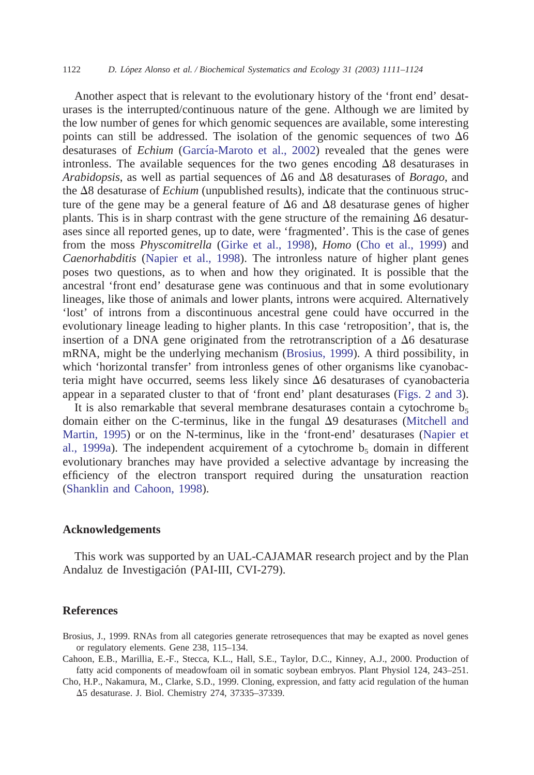<span id="page-11-0"></span>Another aspect that is relevant to the evolutionary history of the 'front end' desaturases is the interrupted/continuous nature of the gene. Although we are limited by the low number of genes for which genomic sequences are available, some interesting points can still be addressed. The isolation of the genomic sequences of two  $\Delta 6$ desaturases of *Echium* (García-Maroto et al., 2002) revealed that the genes were intronless. The available sequences for the two genes encoding  $\Delta 8$  desaturases in *Arabidopsis*, as well as partial sequences of  $\Delta 6$  and  $\Delta 8$  desaturases of *Borago*, and the  $\Delta 8$  desaturase of *Echium* (unpublished results), indicate that the continuous structure of the gene may be a general feature of  $\Delta 6$  and  $\Delta 8$  desaturase genes of higher plants. This is in sharp contrast with the gene structure of the remaining  $\Delta 6$  desaturases since all reported genes, up to date, were 'fragmented'. This is the case of genes from the moss *Physcomitrella* [\(Girke et al., 1998\)](#page-12-0), *Homo* (Cho et al., 1999) and *Caenorhabditis* [\(Napier et al., 1998\)](#page-12-0). The intronless nature of higher plant genes poses two questions, as to when and how they originated. It is possible that the ancestral 'front end' desaturase gene was continuous and that in some evolutionary lineages, like those of animals and lower plants, introns were acquired. Alternatively 'lost' of introns from a discontinuous ancestral gene could have occurred in the evolutionary lineage leading to higher plants. In this case 'retroposition', that is, the insertion of a DNA gene originated from the retrotranscription of a  $\Delta 6$  desaturase mRNA, might be the underlying mechanism (Brosius, 1999). A third possibility, in which 'horizontal transfer' from intronless genes of other organisms like cyanobacteria might have occurred, seems less likely since  $\Delta 6$  desaturases of cyanobacteria appear in a separated cluster to that of 'front end' plant desaturases [\(Figs. 2 and 3\)](#page-6-0).

It is also remarkable that several membrane desaturases contain a cytochrome  $b_5$ domain either on the C-terminus, like in the fungal  $\Delta$ 9 desaturases [\(Mitchell and](#page-12-0) [Martin, 1995\)](#page-12-0) or on the N-terminus, like in the 'front-end' desaturases [\(Napier et](#page-12-0) [al., 1999a\)](#page-12-0). The independent acquirement of a cytochrome  $b<sub>5</sub>$  domain in different evolutionary branches may have provided a selective advantage by increasing the efficiency of the electron transport required during the unsaturation reaction [\(Shanklin and Cahoon, 1998\)](#page-12-0).

#### **Acknowledgements**

This work was supported by an UAL-CAJAMAR research project and by the Plan Andaluz de Investigación (PAI-III, CVI-279).

### **References**

Brosius, J., 1999. RNAs from all categories generate retrosequences that may be exapted as novel genes or regulatory elements. Gene 238, 115–134.

- Cahoon, E.B., Marillia, E.-F., Stecca, K.L., Hall, S.E., Taylor, D.C., Kinney, A.J., 2000. Production of fatty acid components of meadowfoam oil in somatic soybean embryos. Plant Physiol 124, 243–251.
- Cho, H.P., Nakamura, M., Clarke, S.D., 1999. Cloning, expression, and fatty acid regulation of the human 5 desaturase. J. Biol. Chemistry 274, 37335–37339.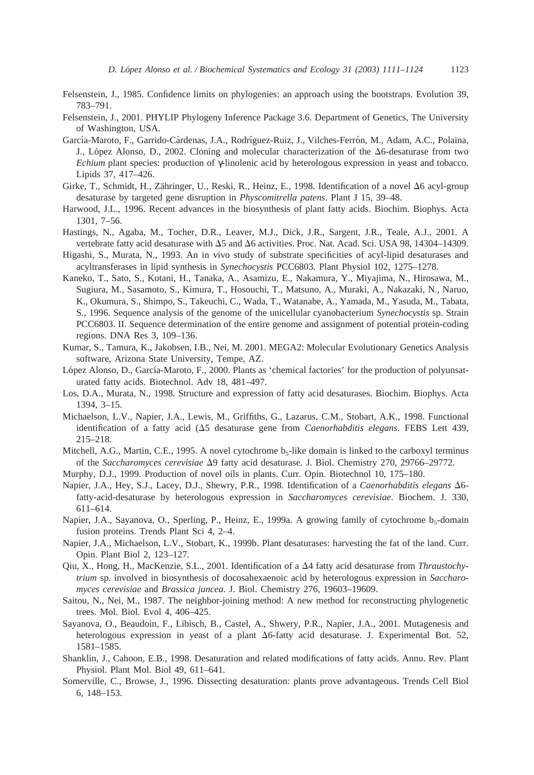- <span id="page-12-0"></span>Felsenstein, J., 1985. Confidence limits on phylogenies: an approach using the bootstraps. Evolution 39, 783–791.
- Felsenstein, J., 2001. PHYLIP Phylogeny Inference Package 3.6. Department of Genetics, The University of Washington, USA.
- García-Maroto, F., Garrido-Cárdenas, J.A., Rodríguez-Ruiz, J., Vilches-Ferrón, M., Adam, A.C., Polaina, J., López Alonso, D., 2002. Cloning and molecular characterization of the  $\Delta 6$ -desaturase from two *Echium* plant species: production of γ-linolenic acid by heterologous expression in yeast and tobacco. Lipids 37, 417–426.
- Girke, T., Schmidt, H., Zähringer, U., Reski, R., Heinz, E., 1998. Identification of a novel  $\Delta 6$  acyl-group desaturase by targeted gene disruption in *Physcomitrella patens*. Plant J 15, 39–48.
- Harwood, J.L., 1996. Recent advances in the biosynthesis of plant fatty acids. Biochim. Biophys. Acta 1301, 7–56.
- Hastings, N., Agaba, M., Tocher, D.R., Leaver, M.J., Dick, J.R., Sargent, J.R., Teale, A.J., 2001. A vertebrate fatty acid desaturase with  $\Delta 5$  and  $\Delta 6$  activities. Proc. Nat. Acad. Sci. USA 98, 14304–14309.
- Higashi, S., Murata, N., 1993. An in vivo study of substrate specificities of acyl-lipid desaturases and acyltransferases in lipid synthesis in *Synechocystis* PCC6803. Plant Physiol 102, 1275–1278.
- Kaneko, T., Sato, S., Kotani, H., Tanaka, A., Asamizu, E., Nakamura, Y., Miyajima, N., Hirosawa, M., Sugiura, M., Sasamoto, S., Kimura, T., Hosouchi, T., Matsuno, A., Muraki, A., Nakazaki, N., Naruo, K., Okumura, S., Shimpo, S., Takeuchi, C., Wada, T., Watanabe, A., Yamada, M., Yasuda, M., Tabata, S., 1996. Sequence analysis of the genome of the unicellular cyanobacterium *Synechocystis* sp. Strain PCC6803. II. Sequence determination of the entire genome and assignment of potential protein-coding regions. DNA Res 3, 109–136.
- Kumar, S., Tamura, K., Jakobsen, I.B., Nei, M. 2001. MEGA2: Molecular Evolutionary Genetics Analysis software, Arizona State University, Tempe, AZ.
- López Alonso, D., García-Maroto, F., 2000. Plants as 'chemical factories' for the production of polyunsaturated fatty acids. Biotechnol. Adv 18, 481–497.
- Los, D.A., Murata, N., 1998. Structure and expression of fatty acid desaturases. Biochim. Biophys. Acta 1394, 3–15.
- Michaelson, L.V., Napier, J.A., Lewis, M., Griffiths, G., Lazarus, C.M., Stobart, A.K., 1998. Functional identification of a fatty acid  $(\Delta 5$  desaturase gene from *Caenorhabditis elegans*. FEBS Lett 439, 215–218.
- Mitchell, A.G., Martin, C.E., 1995. A novel cytochrome b<sub>5</sub>-like domain is linked to the carboxyl terminus of the *Saccharomyces cerevisiae*  $\Delta 9$  fatty acid desaturase. J. Biol. Chemistry 270, 29766-29772.
- Murphy, D.J., 1999. Production of novel oils in plants. Curr. Opin. Biotechnol 10, 175–180.
- Napier, J.A., Hey, S.J., Lacey, D.J., Shewry, P.R., 1998. Identification of a *Caenorhabditis elegans* 6 fatty-acid-desaturase by heterologous expression in *Saccharomyces cerevisiae*. Biochem. J. 330, 611–614.
- Napier, J.A., Sayanova, O., Sperling, P., Heinz, E., 1999a. A growing family of cytochrome  $b_5$ -domain fusion proteins. Trends Plant Sci 4, 2–4.
- Napier, J.A., Michaelson, L.V., Stobart, K., 1999b. Plant desaturases: harvesting the fat of the land. Curr. Opin. Plant Biol 2, 123–127.
- Qiu, X., Hong, H., MacKenzie, S.L., 2001. Identification of a  $\Delta 4$  fatty acid desaturase from *Thraustochytrium* sp. involved in biosynthesis of docosahexaenoic acid by heterologous expression in *Saccharomyces cerevisiae* and *Brassica juncea*. J. Biol. Chemistry 276, 19603–19609.
- Saitou, N., Nei, M., 1987. The neighbor-joining method: A new method for reconstructing phylogenetic trees. Mol. Biol. Evol 4, 406–425.
- Sayanova, O., Beaudoin, F., Libisch, B., Castel, A., Shwery, P.R., Napier, J.A., 2001. Mutagenesis and heterologous expression in yeast of a plant  $\Delta$ 6-fatty acid desaturase. J. Experimental Bot. 52, 1581–1585.
- Shanklin, J., Cahoon, E.B., 1998. Desaturation and related modifications of fatty acids. Annu. Rev. Plant Physiol. Plant Mol. Biol 49, 611–641.
- Somerville, C., Browse, J., 1996. Dissecting desaturation: plants prove advantageous. Trends Cell Biol 6, 148–153.